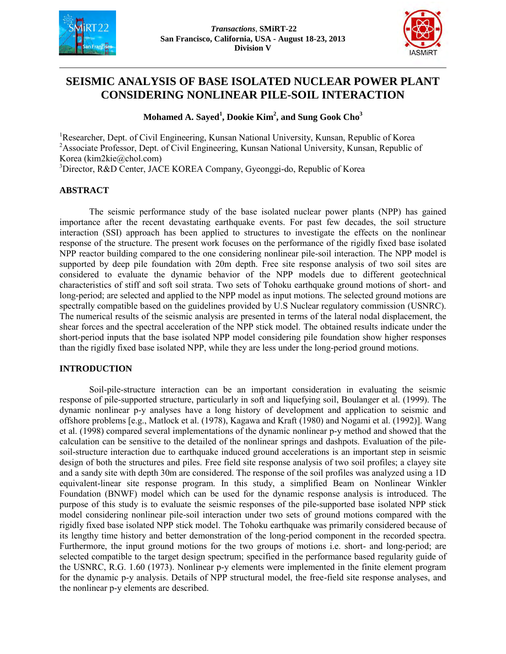



# **SEISMIC ANALYSIS OF BASE ISOLATED NUCLEAR POWER PLANT CONSIDERING NONLINEAR PILE-SOIL INTERACTION**

## **Mohamed A. Sayed<sup>1</sup> , Dookie Kim<sup>2</sup> , and Sung Gook Cho<sup>3</sup>**

<sup>1</sup>Researcher, Dept. of Civil Engineering, Kunsan National University, Kunsan, Republic of Korea <sup>2</sup>Associate Professor, Dept. of Civil Engineering, Kunsan National University, Kunsan, Republic of Korea (kim2kie@chol.com)

<sup>3</sup>Director, R&D Center, JACE KOREA Company, Gyeonggi-do, Republic of Korea

## **ABSTRACT**

The seismic performance study of the base isolated nuclear power plants (NPP) has gained importance after the recent devastating earthquake events. For past few decades, the soil structure interaction (SSI) approach has been applied to structures to investigate the effects on the nonlinear response of the structure. The present work focuses on the performance of the rigidly fixed base isolated NPP reactor building compared to the one considering nonlinear pile-soil interaction. The NPP model is supported by deep pile foundation with 20m depth. Free site response analysis of two soil sites are considered to evaluate the dynamic behavior of the NPP models due to different geotechnical characteristics of stiff and soft soil strata. Two sets of Tohoku earthquake ground motions of short- and long-period; are selected and applied to the NPP model as input motions. The selected ground motions are spectrally compatible based on the guidelines provided by U.S Nuclear regulatory commission (USNRC). The numerical results of the seismic analysis are presented in terms of the lateral nodal displacement, the shear forces and the spectral acceleration of the NPP stick model. The obtained results indicate under the short-period inputs that the base isolated NPP model considering pile foundation show higher responses than the rigidly fixed base isolated NPP, while they are less under the long-period ground motions.

## **INTRODUCTION**

Soil-pile-structure interaction can be an important consideration in evaluating the seismic response of pile-supported structure, particularly in soft and liquefying soil, Boulanger et al. (1999). The dynamic nonlinear p-y analyses have a long history of development and application to seismic and offshore problems [e.g., Matlock et al. (1978), Kagawa and Kraft (1980) and Nogami et al. (1992)]. Wang et al. (1998) compared several implementations of the dynamic nonlinear p-y method and showed that the calculation can be sensitive to the detailed of the nonlinear springs and dashpots. Evaluation of the pilesoil-structure interaction due to earthquake induced ground accelerations is an important step in seismic design of both the structures and piles. Free field site response analysis of two soil profiles; a clayey site and a sandy site with depth 30m are considered. The response of the soil profiles was analyzed using a 1D equivalent-linear site response program. In this study, a simplified Beam on Nonlinear Winkler Foundation (BNWF) model which can be used for the dynamic response analysis is introduced. The purpose of this study is to evaluate the seismic responses of the pile-supported base isolated NPP stick model considering nonlinear pile-soil interaction under two sets of ground motions compared with the rigidly fixed base isolated NPP stick model. The Tohoku earthquake was primarily considered because of its lengthy time history and better demonstration of the long-period component in the recorded spectra. Furthermore, the input ground motions for the two groups of motions i.e. short- and long-period; are selected compatible to the target design spectrum; specified in the performance based regularity guide of the USNRC, R.G. 1.60 (1973). Nonlinear p-y elements were implemented in the finite element program for the dynamic p-y analysis. Details of NPP structural model, the free-field site response analyses, and the nonlinear p-y elements are described.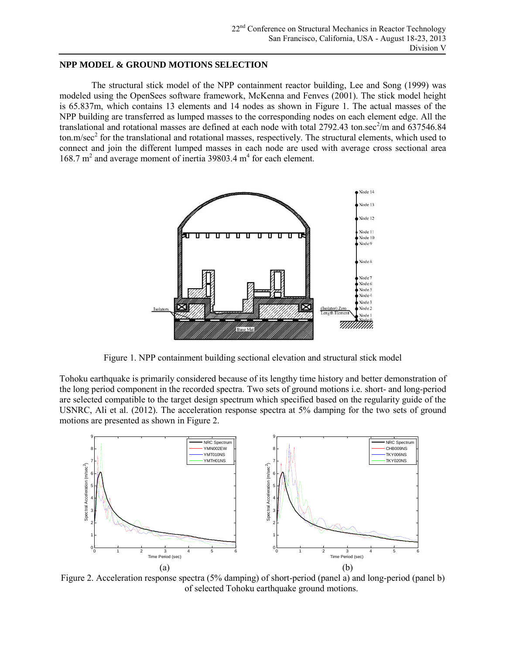#### **NPP MODEL & GROUND MOTIONS SELECTION**

The structural stick model of the NPP containment reactor building, Lee and Song (1999) was modeled using the OpenSees software framework, McKenna and Fenves (2001). The stick model height is 65.837m, which contains 13 elements and 14 nodes as shown in Figure 1. The actual masses of the NPP building are transferred as lumped masses to the corresponding nodes on each element edge. All the translational and rotational masses are defined at each node with total  $2792.43$  ton.sec<sup>2</sup>/m and  $637546.84$ ton.m/sec<sup>2</sup> for the translational and rotational masses, respectively. The structural elements, which used to connect and join the different lumped masses in each node are used with average cross sectional area 168.7 m<sup>2</sup> and average moment of inertia 39803.4 m<sup>4</sup> for each element.



Figure 1. NPP containment building sectional elevation and structural stick model

Tohoku earthquake is primarily considered because of its lengthy time history and better demonstration of the long period component in the recorded spectra. Two sets of ground motions i.e. short- and long-period are selected compatible to the target design spectrum which specified based on the regularity guide of the USNRC, Ali et al. (2012). The acceleration response spectra at 5% damping for the two sets of ground motions are presented as shown in Figure 2.



Figure 2. Acceleration response spectra (5% damping) of short-period (panel a) and long-period (panel b) of selected Tohoku earthquake ground motions.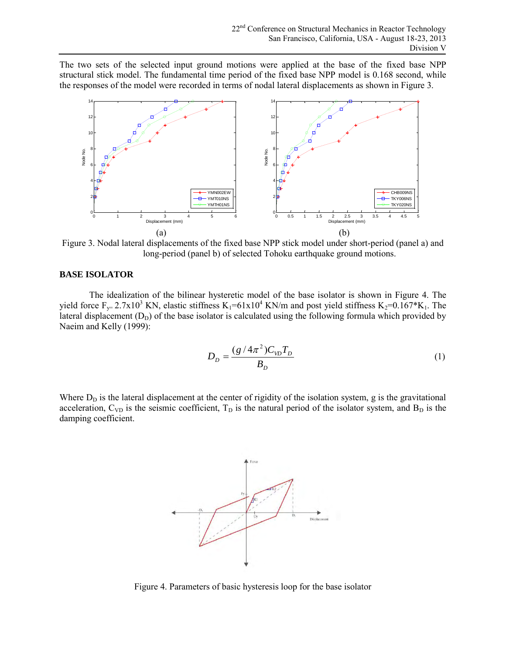The two sets of the selected input ground motions were applied at the base of the fixed base NPP structural stick model. The fundamental time period of the fixed base NPP model is 0.168 second, while the responses of the model were recorded in terms of nodal lateral displacements as shown in Figure 3.



Figure 3. Nodal lateral displacements of the fixed base NPP stick model under short-period (panel a) and long-period (panel b) of selected Tohoku earthquake ground motions.

### **BASE ISOLATOR**

The idealization of the bilinear hysteretic model of the base isolator is shown in Figure 4. The yield force  $F_y = 2.7x10^3$  KN, elastic stiffness  $K_1 = 61x10^4$  KN/m and post yield stiffness  $K_2 = 0.167*K_1$ . The lateral displacement  $(D_D)$  of the base isolator is calculated using the following formula which provided by Naeim and Kelly (1999):

$$
D_D = \frac{(g/4\pi^2)C_{VD}T_D}{B_D} \tag{1}
$$

Where  $D<sub>D</sub>$  is the lateral displacement at the center of rigidity of the isolation system, g is the gravitational acceleration,  $C_{VD}$  is the seismic coefficient,  $T_D$  is the natural period of the isolator system, and  $B_D$  is the damping coefficient.



Figure 4. Parameters of basic hysteresis loop for the base isolator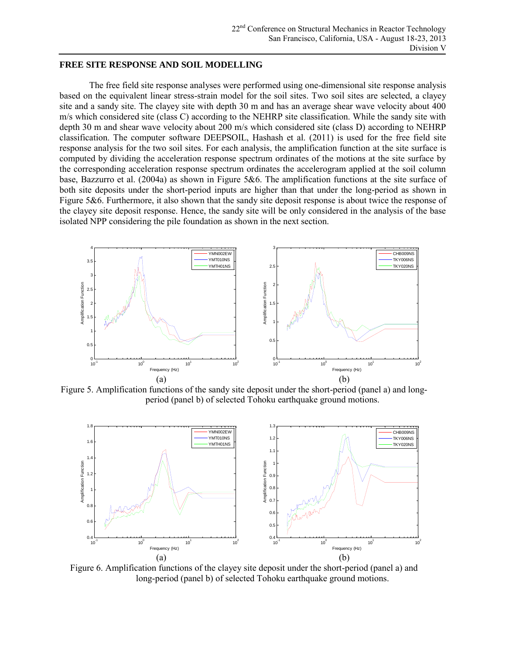#### **FREE SITE RESPONSE AND SOIL MODELLING**

The free field site response analyses were performed using one-dimensional site response analysis based on the equivalent linear stress-strain model for the soil sites. Two soil sites are selected, a clayey site and a sandy site. The clayey site with depth 30 m and has an average shear wave velocity about 400 m/s which considered site (class C) according to the NEHRP site classification. While the sandy site with depth 30 m and shear wave velocity about 200 m/s which considered site (class D) according to NEHRP classification. The computer software DEEPSOIL, Hashash et al. (2011) is used for the free field site response analysis for the two soil sites. For each analysis, the amplification function at the site surface is computed by dividing the acceleration response spectrum ordinates of the motions at the site surface by the corresponding acceleration response spectrum ordinates the accelerogram applied at the soil column base, Bazzurro et al. (2004a) as shown in Figure 5&6. The amplification functions at the site surface of both site deposits under the short-period inputs are higher than that under the long-period as shown in Figure 5&6. Furthermore, it also shown that the sandy site deposit response is about twice the response of the clayey site deposit response. Hence, the sandy site will be only considered in the analysis of the base isolated NPP considering the pile foundation as shown in the next section.



Figure 5. Amplification functions of the sandy site deposit under the short-period (panel a) and longperiod (panel b) of selected Tohoku earthquake ground motions.



Figure 6. Amplification functions of the clayey site deposit under the short-period (panel a) and long-period (panel b) of selected Tohoku earthquake ground motions.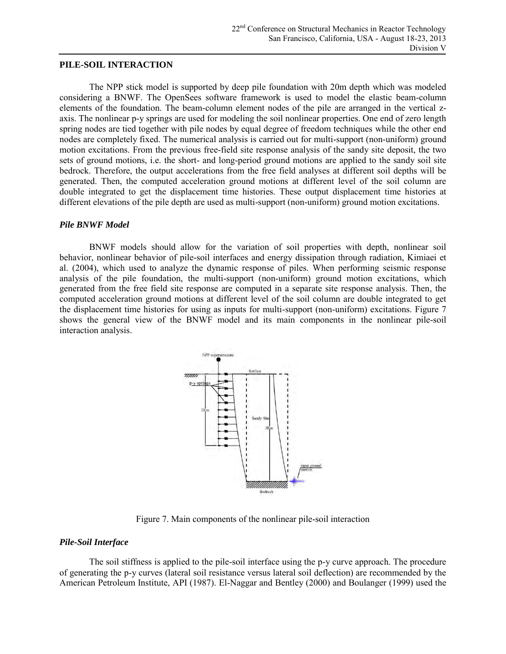#### **PILE-SOIL INTERACTION**

The NPP stick model is supported by deep pile foundation with 20m depth which was modeled considering a BNWF. The OpenSees software framework is used to model the elastic beam-column elements of the foundation. The beam-column element nodes of the pile are arranged in the vertical zaxis. The nonlinear p-y springs are used for modeling the soil nonlinear properties. One end of zero length spring nodes are tied together with pile nodes by equal degree of freedom techniques while the other end nodes are completely fixed. The numerical analysis is carried out for multi-support (non-uniform) ground motion excitations. From the previous free-field site response analysis of the sandy site deposit, the two sets of ground motions, i.e. the short- and long-period ground motions are applied to the sandy soil site bedrock. Therefore, the output accelerations from the free field analyses at different soil depths will be generated. Then, the computed acceleration ground motions at different level of the soil column are double integrated to get the displacement time histories. These output displacement time histories at different elevations of the pile depth are used as multi-support (non-uniform) ground motion excitations.

#### *Pile BNWF Model*

BNWF models should allow for the variation of soil properties with depth, nonlinear soil behavior, nonlinear behavior of pile-soil interfaces and energy dissipation through radiation, Kimiaei et al. (2004), which used to analyze the dynamic response of piles. When performing seismic response analysis of the pile foundation, the multi-support (non-uniform) ground motion excitations, which generated from the free field site response are computed in a separate site response analysis. Then, the computed acceleration ground motions at different level of the soil column are double integrated to get the displacement time histories for using as inputs for multi-support (non-uniform) excitations. Figure 7 shows the general view of the BNWF model and its main components in the nonlinear pile-soil interaction analysis.



Figure 7. Main components of the nonlinear pile-soil interaction

#### *Pile-Soil Interface*

The soil stiffness is applied to the pile-soil interface using the p-y curve approach. The procedure of generating the p-y curves (lateral soil resistance versus lateral soil deflection) are recommended by the American Petroleum Institute, API (1987). El-Naggar and Bentley (2000) and Boulanger (1999) used the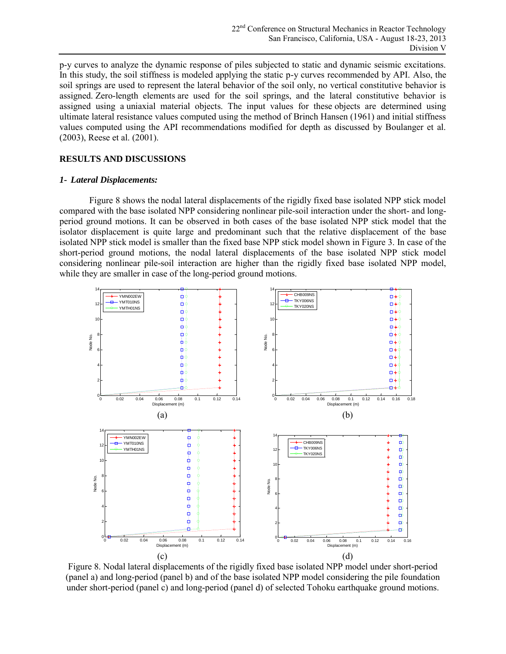p-y curves to analyze the dynamic response of piles subjected to static and dynamic seismic excitations. In this study, the soil stiffness is modeled applying the static p-y curves recommended by API. Also, the soil springs are used to represent the lateral behavior of the soil only, no vertical constitutive behavior is assigned. [Zero-length elements](http://opensees.berkeley.edu/wiki/index.php/ZeroLength_Element) are used for the soil springs, and the lateral constitutive behavior is assigned using a uniaxial material objects. The input values for these objects are determined using ultimate lateral resistance values computed using the method of Brinch Hansen (1961) and initial stiffness values computed using the API recommendations modified for depth as discussed by Boulanger et al. (2003), Reese et al. (2001).

## **RESULTS AND DISCUSSIONS**

#### *1- Lateral Displacements:*

Figure 8 shows the nodal lateral displacements of the rigidly fixed base isolated NPP stick model compared with the base isolated NPP considering nonlinear pile-soil interaction under the short- and longperiod ground motions. It can be observed in both cases of the base isolated NPP stick model that the isolator displacement is quite large and predominant such that the relative displacement of the base isolated NPP stick model is smaller than the fixed base NPP stick model shown in Figure 3. In case of the short-period ground motions, the nodal lateral displacements of the base isolated NPP stick model considering nonlinear pile-soil interaction are higher than the rigidly fixed base isolated NPP model, while they are smaller in case of the long-period ground motions.



Figure 8. Nodal lateral displacements of the rigidly fixed base isolated NPP model under short-period (panel a) and long-period (panel b) and of the base isolated NPP model considering the pile foundation under short-period (panel c) and long-period (panel d) of selected Tohoku earthquake ground motions.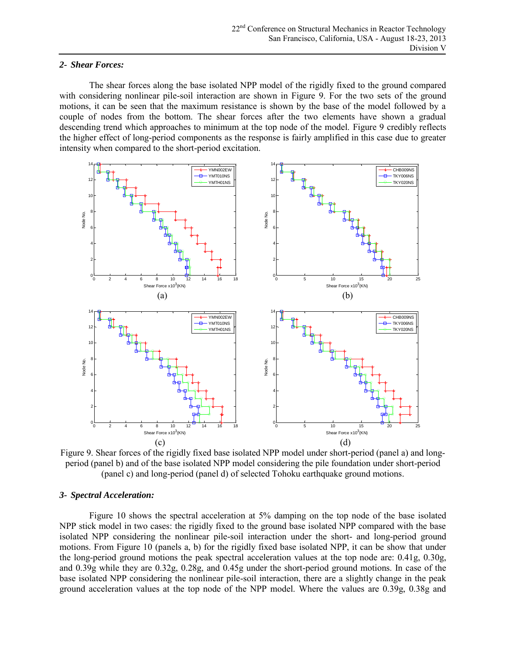#### *2- Shear Forces:*

The shear forces along the base isolated NPP model of the rigidly fixed to the ground compared with considering nonlinear pile-soil interaction are shown in Figure 9. For the two sets of the ground motions, it can be seen that the maximum resistance is shown by the base of the model followed by a couple of nodes from the bottom. The shear forces after the two elements have shown a gradual descending trend which approaches to minimum at the top node of the model. Figure 9 credibly reflects the higher effect of long-period components as the response is fairly amplified in this case due to greater intensity when compared to the short-period excitation.



Figure 9. Shear forces of the rigidly fixed base isolated NPP model under short-period (panel a) and longperiod (panel b) and of the base isolated NPP model considering the pile foundation under short-period (panel c) and long-period (panel d) of selected Tohoku earthquake ground motions.

## *3- Spectral Acceleration:*

Figure 10 shows the spectral acceleration at 5% damping on the top node of the base isolated NPP stick model in two cases: the rigidly fixed to the ground base isolated NPP compared with the base isolated NPP considering the nonlinear pile-soil interaction under the short- and long-period ground motions. From Figure 10 (panels a, b) for the rigidly fixed base isolated NPP, it can be show that under the long-period ground motions the peak spectral acceleration values at the top node are: 0.41g, 0.30g, and 0.39g while they are 0.32g, 0.28g, and 0.45g under the short-period ground motions. In case of the base isolated NPP considering the nonlinear pile-soil interaction, there are a slightly change in the peak ground acceleration values at the top node of the NPP model. Where the values are 0.39g, 0.38g and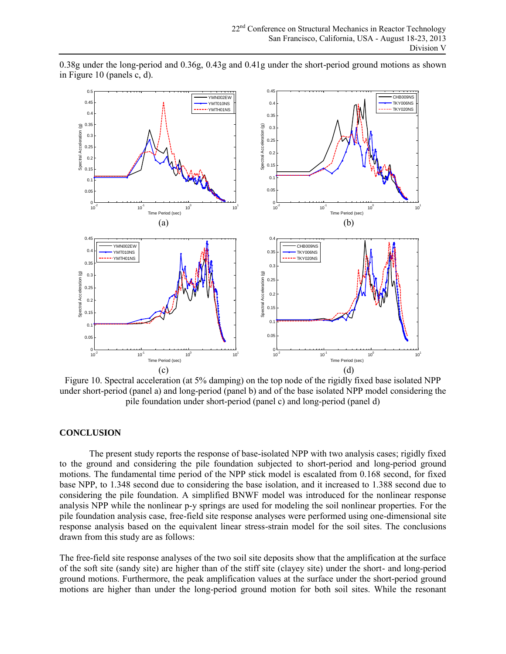0.45  $0.5 -$ YMN002EW CHB009NS  $0.4$ TKY006NS YMT010NS  $0.4$ TKY020NS YMTH01NS  $\overline{0}$ .  $0.35$ 0.35  $\widehat{\mathbf{e}}$ Spectral Acceleration (g) Spectral Acceleration (g) Spectral Acceleration (g)  $0.3$ Spectral Acceleration  $\overline{0}$ .  $0.25$  $0.25$  $\Omega$ .  $0.2$  $0.15$  $0.1$  $\Omega$ .  $\Omega$ . 0.05 0.05 0<br> $\frac{1}{10^{-2}}$  10<sup>-1</sup> 10<sup>0</sup> 10<sup>1</sup> 10<sup>0</sup>  $10^{1}$  10<sup>1</sup> 10<sup>0</sup> 10<sup>1</sup> Time Period (sec) Time Period (sec)  $(a)$  (b) 0.45  $0.4$ YMN002EW CHB009NS  $\mathbf{0}$ YMT010NS  $0.35$ TKY006NS YMTH<sub>01</sub>NS TKY020NS  $0.35$  $\overline{0}$ . o Spectral Acceleration (g) Spectral Acceleration (g)  $0.3$ Spectral Acceleration (g) Spectral Acceleration  $0.25$  $0.2$  $0.2$  $0.2$  $0.15$  $0.15$  $0.1$  $\overline{0}$ . 0.05  $0.05$  $10^{-2}$  10<sup>-1</sup> 10<sup>-1</sup> 10<sup>0</sup> 10<sup>1</sup>  $10^{-2}$  10<sup>-1</sup> 10<sup>-1</sup> 10<sup>0</sup> 10<sup>1</sup> Time Period (sec) Time Period (sec)  $(c)$  (d)

0.38g under the long-period and 0.36g, 0.43g and 0.41g under the short-period ground motions as shown in Figure 10 (panels c, d).

Figure 10. Spectral acceleration (at 5% damping) on the top node of the rigidly fixed base isolated NPP under short-period (panel a) and long-period (panel b) and of the base isolated NPP model considering the pile foundation under short-period (panel c) and long-period (panel d)

## **CONCLUSION**

The present study reports the response of base-isolated NPP with two analysis cases; rigidly fixed to the ground and considering the pile foundation subjected to short-period and long-period ground motions. The fundamental time period of the NPP stick model is escalated from 0.168 second, for fixed base NPP, to 1.348 second due to considering the base isolation, and it increased to 1.388 second due to considering the pile foundation. A simplified BNWF model was introduced for the nonlinear response analysis NPP while the nonlinear p-y springs are used for modeling the soil nonlinear properties. For the pile foundation analysis case, free-field site response analyses were performed using one-dimensional site response analysis based on the equivalent linear stress-strain model for the soil sites. The conclusions drawn from this study are as follows:

The free-field site response analyses of the two soil site deposits show that the amplification at the surface of the soft site (sandy site) are higher than of the stiff site (clayey site) under the short- and long-period ground motions. Furthermore, the peak amplification values at the surface under the short-period ground motions are higher than under the long-period ground motion for both soil sites. While the resonant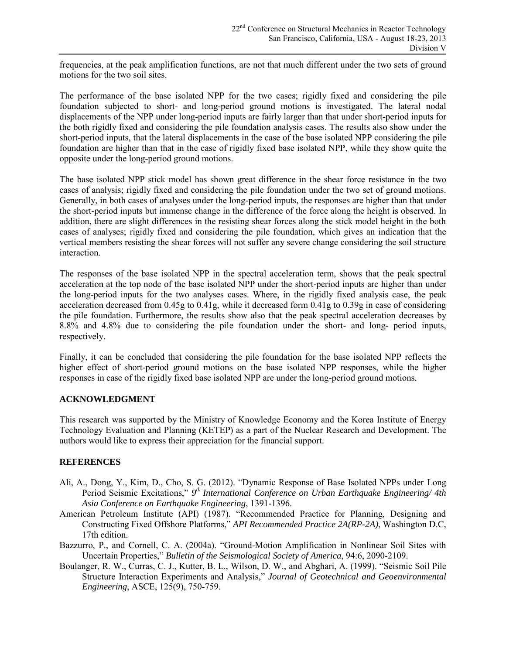frequencies, at the peak amplification functions, are not that much different under the two sets of ground motions for the two soil sites.

The performance of the base isolated NPP for the two cases; rigidly fixed and considering the pile foundation subjected to short- and long-period ground motions is investigated. The lateral nodal displacements of the NPP under long-period inputs are fairly larger than that under short-period inputs for the both rigidly fixed and considering the pile foundation analysis cases. The results also show under the short-period inputs, that the lateral displacements in the case of the base isolated NPP considering the pile foundation are higher than that in the case of rigidly fixed base isolated NPP, while they show quite the opposite under the long-period ground motions.

The base isolated NPP stick model has shown great difference in the shear force resistance in the two cases of analysis; rigidly fixed and considering the pile foundation under the two set of ground motions. Generally, in both cases of analyses under the long-period inputs, the responses are higher than that under the short-period inputs but immense change in the difference of the force along the height is observed. In addition, there are slight differences in the resisting shear forces along the stick model height in the both cases of analyses; rigidly fixed and considering the pile foundation, which gives an indication that the vertical members resisting the shear forces will not suffer any severe change considering the soil structure interaction.

The responses of the base isolated NPP in the spectral acceleration term, shows that the peak spectral acceleration at the top node of the base isolated NPP under the short-period inputs are higher than under the long-period inputs for the two analyses cases. Where, in the rigidly fixed analysis case, the peak acceleration decreased from 0.45g to 0.41g, while it decreased form 0.41g to 0.39g in case of considering the pile foundation. Furthermore, the results show also that the peak spectral acceleration decreases by 8.8% and 4.8% due to considering the pile foundation under the short- and long- period inputs, respectively.

Finally, it can be concluded that considering the pile foundation for the base isolated NPP reflects the higher effect of short-period ground motions on the base isolated NPP responses, while the higher responses in case of the rigidly fixed base isolated NPP are under the long-period ground motions.

## **ACKNOWLEDGMENT**

This research was supported by the Ministry of Knowledge Economy and the Korea Institute of Energy Technology Evaluation and Planning (KETEP) as a part of the Nuclear Research and Development. The authors would like to express their appreciation for the financial support.

## **REFERENCES**

- Ali, A., Dong, Y., Kim, D., Cho, S. G. (2012). "Dynamic Response of Base Isolated NPPs under Long Period Seismic Excitations," 9<sup>th</sup> International Conference on Urban Earthquake Engineering/ 4th *Asia Conference on Earthquake Engineering*, 1391-1396.
- American Petroleum Institute (API) (1987). "Recommended Practice for Planning, Designing and Constructing Fixed Offshore Platforms," *API Recommended Practice 2A(RP-2A)*, Washington D.C, 17th edition.
- Bazzurro, P., and Cornell, C. A. (2004a). "Ground-Motion Amplification in Nonlinear Soil Sites with Uncertain Properties," *Bulletin of the Seismological Society of America*, 94:6, 2090-2109.
- Boulanger, R. W., Curras, C. J., Kutter, B. L., Wilson, D. W., and Abghari, A. (1999). "Seismic Soil Pile Structure Interaction Experiments and Analysis," *Journal of Geotechnical and Geoenvironmental Engineering*, ASCE, 125(9), 750-759.